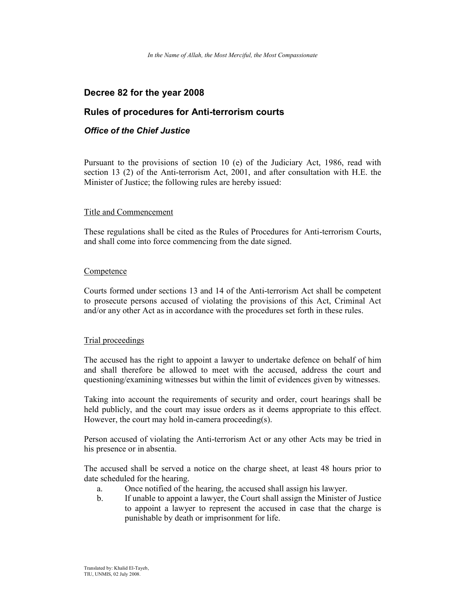# Decree 82 for the year 2008

# Rules of procedures for Anti-terrorism courts

### Office of the Chief Justice

Pursuant to the provisions of section 10 (e) of the Judiciary Act, 1986, read with section 13 (2) of the Anti-terrorism Act, 2001, and after consultation with H.E. the Minister of Justice; the following rules are hereby issued:

#### Title and Commencement

These regulations shall be cited as the Rules of Procedures for Anti-terrorism Courts, and shall come into force commencing from the date signed.

#### **Competence**

Courts formed under sections 13 and 14 of the Anti-terrorism Act shall be competent to prosecute persons accused of violating the provisions of this Act, Criminal Act and/or any other Act as in accordance with the procedures set forth in these rules.

### Trial proceedings

The accused has the right to appoint a lawyer to undertake defence on behalf of him and shall therefore be allowed to meet with the accused, address the court and questioning/examining witnesses but within the limit of evidences given by witnesses.

Taking into account the requirements of security and order, court hearings shall be held publicly, and the court may issue orders as it deems appropriate to this effect. However, the court may hold in-camera proceeding(s).

Person accused of violating the Anti-terrorism Act or any other Acts may be tried in his presence or in absentia.

The accused shall be served a notice on the charge sheet, at least 48 hours prior to date scheduled for the hearing.

- a. Once notified of the hearing, the accused shall assign his lawyer.
- b. If unable to appoint a lawyer, the Court shall assign the Minister of Justice to appoint a lawyer to represent the accused in case that the charge is punishable by death or imprisonment for life.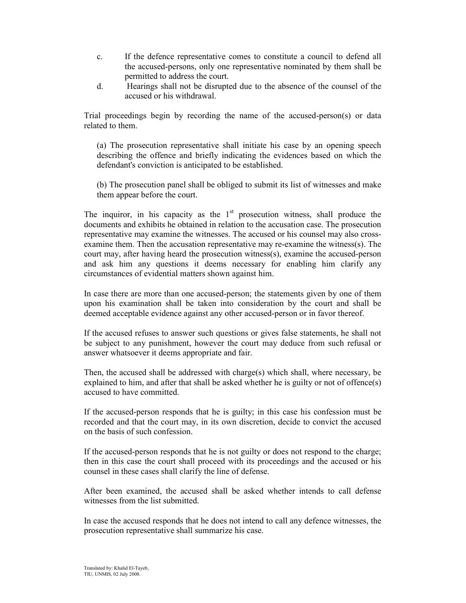- c. If the defence representative comes to constitute a council to defend all the accused-persons, only one representative nominated by them shall be permitted to address the court.
- d. Hearings shall not be disrupted due to the absence of the counsel of the accused or his withdrawal.

Trial proceedings begin by recording the name of the accused-person(s) or data related to them.

(a) The prosecution representative shall initiate his case by an opening speech describing the offence and briefly indicating the evidences based on which the defendant's conviction is anticipated to be established.

(b) The prosecution panel shall be obliged to submit its list of witnesses and make them appear before the court.

The inquiror, in his capacity as the  $1<sup>st</sup>$  prosecution witness, shall produce the documents and exhibits he obtained in relation to the accusation case. The prosecution representative may examine the witnesses. The accused or his counsel may also crossexamine them. Then the accusation representative may re-examine the witness(s). The court may, after having heard the prosecution witness(s), examine the accused-person and ask him any questions it deems necessary for enabling him clarify any circumstances of evidential matters shown against him.

In case there are more than one accused-person; the statements given by one of them upon his examination shall be taken into consideration by the court and shall be deemed acceptable evidence against any other accused-person or in favor thereof.

If the accused refuses to answer such questions or gives false statements, he shall not be subject to any punishment, however the court may deduce from such refusal or answer whatsoever it deems appropriate and fair.

Then, the accused shall be addressed with charge(s) which shall, where necessary, be explained to him, and after that shall be asked whether he is guilty or not of offence(s) accused to have committed.

If the accused-person responds that he is guilty; in this case his confession must be recorded and that the court may, in its own discretion, decide to convict the accused on the basis of such confession.

If the accused-person responds that he is not guilty or does not respond to the charge; then in this case the court shall proceed with its proceedings and the accused or his counsel in these cases shall clarify the line of defense.

After been examined, the accused shall be asked whether intends to call defense witnesses from the list submitted.

In case the accused responds that he does not intend to call any defence witnesses, the prosecution representative shall summarize his case.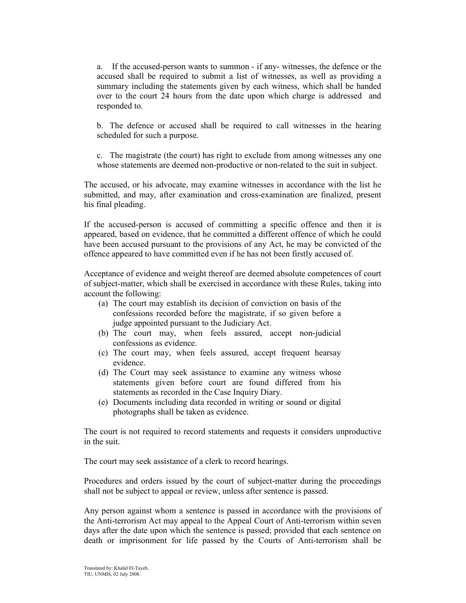a. If the accused-person wants to summon - if any- witnesses, the defence or the accused shall be required to submit a list of witnesses, as well as providing a summary including the statements given by each witness, which shall be handed over to the court 24 hours from the date upon which charge is addressed and responded to.

b. The defence or accused shall be required to call witnesses in the hearing scheduled for such a purpose.

c. The magistrate (the court) has right to exclude from among witnesses any one whose statements are deemed non-productive or non-related to the suit in subject.

The accused, or his advocate, may examine witnesses in accordance with the list he submitted, and may, after examination and cross-examination are finalized, present his final pleading.

If the accused-person is accused of committing a specific offence and then it is appeared, based on evidence, that he committed a different offence of which he could have been accused pursuant to the provisions of any Act, he may be convicted of the offence appeared to have committed even if he has not been firstly accused of.

Acceptance of evidence and weight thereof are deemed absolute competences of court of subject-matter, which shall be exercised in accordance with these Rules, taking into account the following:

- (a) The court may establish its decision of conviction on basis of the confessions recorded before the magistrate, if so given before a judge appointed pursuant to the Judiciary Act.
- (b) The court may, when feels assured, accept non-judicial confessions as evidence.
- (c) The court may, when feels assured, accept frequent hearsay evidence.
- (d) The Court may seek assistance to examine any witness whose statements given before court are found differed from his statements as recorded in the Case Inquiry Diary.
- (e) Documents including data recorded in writing or sound or digital photographs shall be taken as evidence.

The court is not required to record statements and requests it considers unproductive in the suit.

The court may seek assistance of a clerk to record hearings.

Procedures and orders issued by the court of subject-matter during the proceedings shall not be subject to appeal or review, unless after sentence is passed.

Any person against whom a sentence is passed in accordance with the provisions of the Anti-terrorism Act may appeal to the Appeal Court of Anti-terrorism within seven days after the date upon which the sentence is passed; provided that each sentence on death or imprisonment for life passed by the Courts of Anti-terrorism shall be